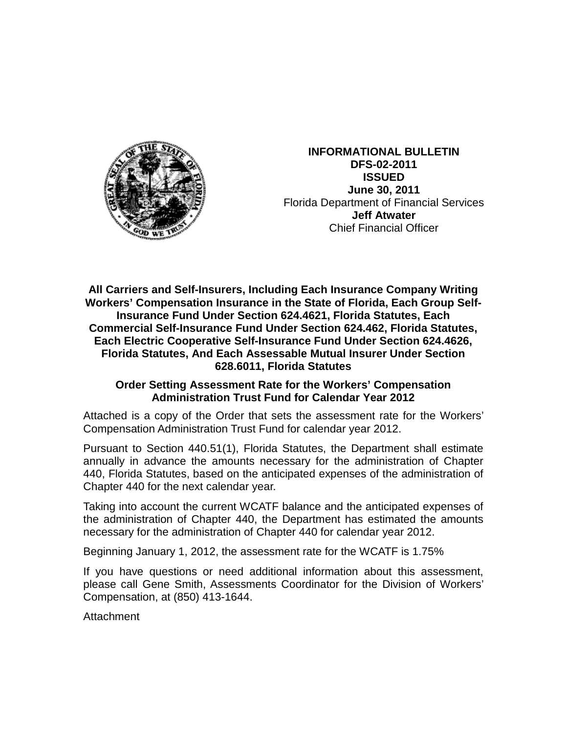

**INFORMATIONAL BULLETIN DFS-02-2011 ISSUED June 30, 2011** Florida Department of Financial Services **Jeff Atwater** Chief Financial Officer

**All Carriers and Self-Insurers, Including Each Insurance Company Writing Workers' Compensation Insurance in the State of Florida, Each Group Self-Insurance Fund Under Section 624.4621, Florida Statutes, Each Commercial Self-Insurance Fund Under Section 624.462, Florida Statutes, Each Electric Cooperative Self-Insurance Fund Under Section 624.4626, Florida Statutes, And Each Assessable Mutual Insurer Under Section 628.6011, Florida Statutes**

## **Order Setting Assessment Rate for the Workers' Compensation Administration Trust Fund for Calendar Year 2012**

Attached is a copy of the Order that sets the assessment rate for the Workers' Compensation Administration Trust Fund for calendar year 2012.

Pursuant to Section 440.51(1), Florida Statutes, the Department shall estimate annually in advance the amounts necessary for the administration of Chapter 440, Florida Statutes, based on the anticipated expenses of the administration of Chapter 440 for the next calendar year.

Taking into account the current WCATF balance and the anticipated expenses of the administration of Chapter 440, the Department has estimated the amounts necessary for the administration of Chapter 440 for calendar year 2012.

Beginning January 1, 2012, the assessment rate for the WCATF is 1.75%

If you have questions or need additional information about this assessment, please call Gene Smith, Assessments Coordinator for the Division of Workers' Compensation, at (850) 413-1644.

Attachment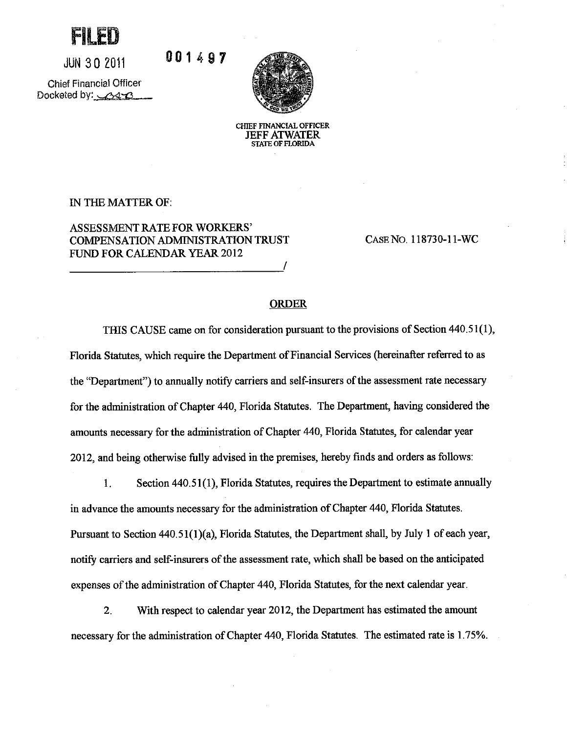

**JUN 30 2011** 

**Chief Financial Officer** Docketed by: 313



CHIEF FINANCIAL OFFICER **JEFF ATWATER STATE OF FLORIDA** 

IN THE MATTER OF:

**ASSESSMENT RATE FOR WORKERS' COMPENSATION ADMINISTRATION TRUST** FUND FOR CALENDAR YEAR 2012

001497

CASE NO. 118730-11-WC

## **ORDER**

THIS CAUSE came on for consideration pursuant to the provisions of Section 440.51(1), Florida Statutes, which require the Department of Financial Services (hereinafter referred to as the "Department") to annually notify carriers and self-insurers of the assessment rate necessary for the administration of Chapter 440, Florida Statutes. The Department, having considered the amounts necessary for the administration of Chapter 440, Florida Statutes, for calendar year 2012, and being otherwise fully advised in the premises, hereby finds and orders as follows:

1. Section 440.51(1), Florida Statutes, requires the Department to estimate annually in advance the amounts necessary for the administration of Chapter 440, Florida Statutes. Pursuant to Section 440.51(1)(a), Florida Statutes, the Department shall, by July 1 of each year, notify carriers and self-insurers of the assessment rate, which shall be based on the anticipated expenses of the administration of Chapter 440, Florida Statutes, for the next calendar year.

 $2.$ With respect to calendar year 2012, the Department has estimated the amount necessary for the administration of Chapter 440, Florida Statutes. The estimated rate is 1.75%.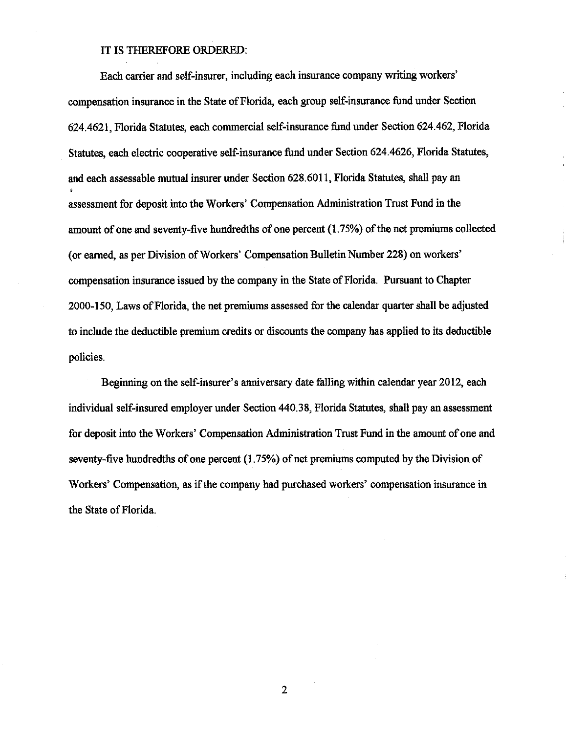## IT IS THEREFORE ORDERED:

Each carrier and self-insurer, including each insurance company writing workers' compensation insurance in the State of Florida, each group self-insurance fund under Section 624.4621, Florida Statutes, each commercial self-insurance fund under Section 624.462, Florida Statutes, each electric cooperative self-insurance fund under Section 624.4626, Florida Statutes, and each assessable mutual insurer under Section 628.6011, Florida Statutes, shall pay an assessment for deposit into the Workers' Compensation Administration Trust Fund in the amount of one and seventy-five hundredths of one percent (1.75%) of the net premiums collected (or earned, as per Division of Workers' Compensation Bulletin Number 228) on workers' compensation insurance issued by the company in the State of Florida. Pursuant to Chapter 2000-150, Laws of Florida, the net premiums assessed for the calendar quarter shall be adjusted to include the deductible premium credits or discounts the company has applied to its deductible policies.

Beginning on the self-insurer's anniversary date falling within calendar year 2012, each individual self-insured employer under Section 440.38, Florida Statutes, shall pay an assessment for deposit into the Workers' Compensation Administration Trust Fund in the amount of one and seventy-five hundredths of one percent  $(1.75%)$  of net premiums computed by the Division of Workers' Compensation, as if the company had purchased workers' compensation insurance in the State of Florida.

 $\overline{2}$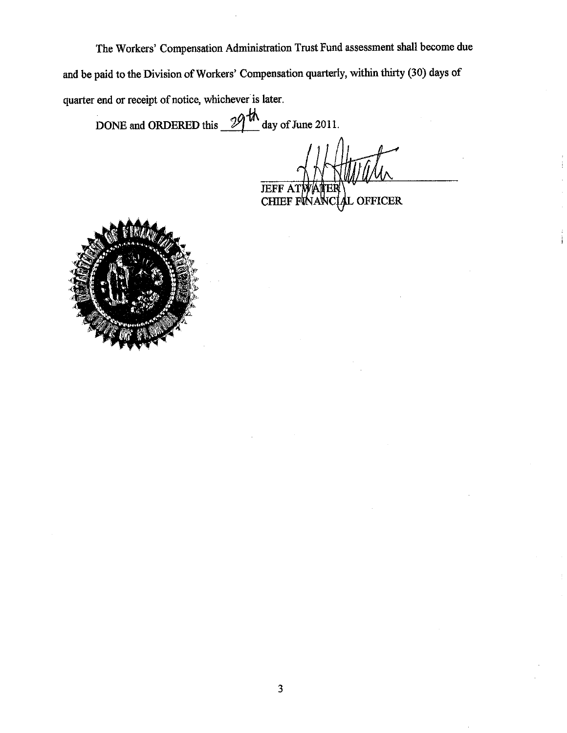The Workers' Compensation Administration Trust Fund assessment shall become due and be paid to the Division of Workers' Compensation quarterly, within thirty (30) days of quarter end or receipt of notice, whichever is later.

DONE and ORDERED this  $\frac{29 \text{ th}}{4}$  day of June 2011.

**JEFF AT** 

**OFFICER CHIEF F**